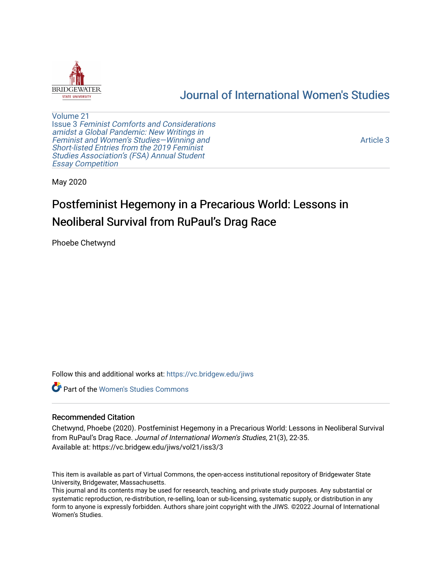

## [Journal of International Women's Studies](https://vc.bridgew.edu/jiws)

[Volume 21](https://vc.bridgew.edu/jiws/vol21) Issue 3 [Feminist Comforts and Considerations](https://vc.bridgew.edu/jiws/vol21/iss3) [amidst a Global Pandemic: New Writings in](https://vc.bridgew.edu/jiws/vol21/iss3)  [Feminist and Women's Studies—Winning and](https://vc.bridgew.edu/jiws/vol21/iss3) [Short-listed Entries from the 2019 Feminist](https://vc.bridgew.edu/jiws/vol21/iss3) [Studies Association's \(FSA\) Annual Student](https://vc.bridgew.edu/jiws/vol21/iss3) [Essay Competition](https://vc.bridgew.edu/jiws/vol21/iss3)

[Article 3](https://vc.bridgew.edu/jiws/vol21/iss3/3) 

May 2020

# Postfeminist Hegemony in a Precarious World: Lessons in Neoliberal Survival from RuPaul's Drag Race

Phoebe Chetwynd

Follow this and additional works at: [https://vc.bridgew.edu/jiws](https://vc.bridgew.edu/jiws?utm_source=vc.bridgew.edu%2Fjiws%2Fvol21%2Fiss3%2F3&utm_medium=PDF&utm_campaign=PDFCoverPages)

**C** Part of the Women's Studies Commons

#### Recommended Citation

Chetwynd, Phoebe (2020). Postfeminist Hegemony in a Precarious World: Lessons in Neoliberal Survival from RuPaul's Drag Race. Journal of International Women's Studies, 21(3), 22-35. Available at: https://vc.bridgew.edu/jiws/vol21/iss3/3

This item is available as part of Virtual Commons, the open-access institutional repository of Bridgewater State University, Bridgewater, Massachusetts.

This journal and its contents may be used for research, teaching, and private study purposes. Any substantial or systematic reproduction, re-distribution, re-selling, loan or sub-licensing, systematic supply, or distribution in any form to anyone is expressly forbidden. Authors share joint copyright with the JIWS. ©2022 Journal of International Women's Studies.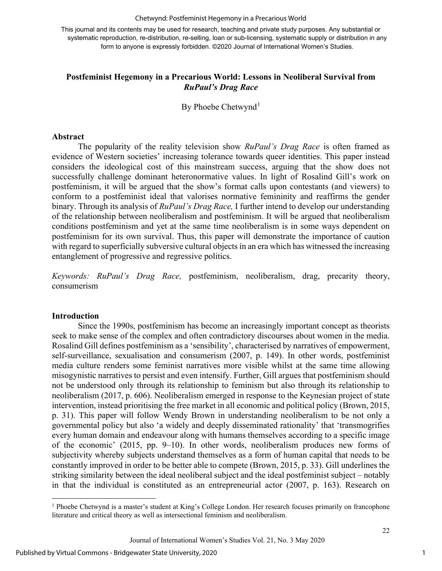#### Chetwynd: Postfeminist Hegemony in a Precarious World

This journal and its contents may be used for research, teaching and private study purposes. Any substantial or systematic reproduction, re-distribution, re-selling, loan or sub-licensing, systematic supply or distribution in any form to anyone is expressly forbidden. ©2020 Journal of International Women's Studies.

### **Postfeminist Hegemony in a Precarious World: Lessons in Neoliberal Survival from**  *RuPaul's Drag Race*

By Phoebe Chetwynd<sup>[1](#page-1-0)</sup>

#### **Abstract**

The popularity of the reality television show *RuPaul's Drag Race* is often framed as evidence of Western societies' increasing tolerance towards queer identities. This paper instead considers the ideological cost of this mainstream success, arguing that the show does not successfully challenge dominant heteronormative values. In light of Rosalind Gill's work on postfeminism, it will be argued that the show's format calls upon contestants (and viewers) to conform to a postfeminist ideal that valorises normative femininity and reaffirms the gender binary. Through its analysis of *RuPaul's Drag Race,* I further intend to develop our understanding of the relationship between neoliberalism and postfeminism. It will be argued that neoliberalism conditions postfeminism and yet at the same time neoliberalism is in some ways dependent on postfeminism for its own survival. Thus, this paper will demonstrate the importance of caution with regard to superficially subversive cultural objects in an era which has witnessed the increasing entanglement of progressive and regressive politics.

*Keywords: RuPaul's Drag Race,* postfeminism, neoliberalism, drag, precarity theory, consumerism

#### **Introduction**

Since the 1990s, postfeminism has become an increasingly important concept as theorists seek to make sense of the complex and often contradictory discourses about women in the media. Rosalind Gill defines postfeminism as a 'sensibility', characterised by narratives of empowerment, self-surveillance, sexualisation and consumerism (2007, p. 149). In other words, postfeminist media culture renders some feminist narratives more visible whilst at the same time allowing misogynistic narratives to persist and even intensify. Further, Gill argues that postfeminism should not be understood only through its relationship to feminism but also through its relationship to neoliberalism (2017, p. 606). Neoliberalism emerged in response to the Keynesian project of state intervention, instead prioritising the free market in all economic and political policy (Brown, 2015, p. 31). This paper will follow Wendy Brown in understanding neoliberalism to be not only a governmental policy but also 'a widely and deeply disseminated rationality' that 'transmogrifies every human domain and endeavour along with humans themselves according to a specific image of the economic' (2015, pp. 9–10). In other words, neoliberalism produces new forms of subjectivity whereby subjects understand themselves as a form of human capital that needs to be constantly improved in order to be better able to compete (Brown, 2015, p. 33). Gill underlines the striking similarity between the ideal neoliberal subject and the ideal postfeminist subject – notably in that the individual is constituted as an entrepreneurial actor (2007, p. 163). Research on

<span id="page-1-0"></span><sup>&</sup>lt;sup>1</sup> Phoebe Chetwynd is a master's student at King's College London. Her research focuses primarily on francophone literature and critical theory as well as intersectional feminism and neoliberalism.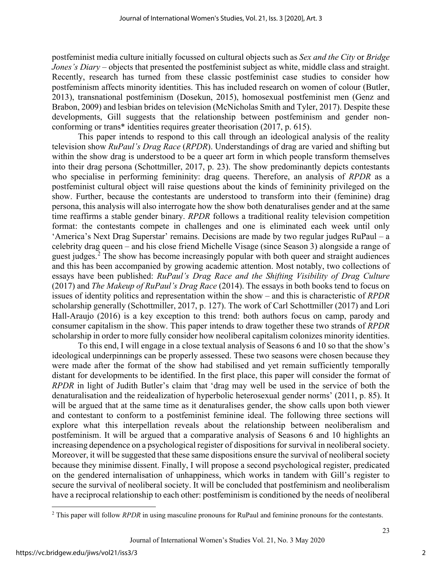postfeminist media culture initially focussed on cultural objects such as *Sex and the City* or *Bridge Jones's Diary* – objects that presented the postfeminist subject as white, middle class and straight. Recently, research has turned from these classic postfeminist case studies to consider how postfeminism affects minority identities. This has included research on women of colour (Butler, 2013), transnational postfeminism (Dosekun, 2015), homosexual postfeminist men (Genz and Brabon, 2009) and lesbian brides on television (McNicholas Smith and Tyler, 2017). Despite these developments, Gill suggests that the relationship between postfeminism and gender nonconforming or trans\* identities requires greater theorisation (2017, p. 615).

This paper intends to respond to this call through an ideological analysis of the reality television show *RuPaul's Drag Race* (*RPDR*). Understandings of drag are varied and shifting but within the show drag is understood to be a queer art form in which people transform themselves into their drag persona (Schottmiller, 2017, p. 23). The show predominantly depicts contestants who specialise in performing femininity: drag queens. Therefore, an analysis of *RPDR* as a postfeminist cultural object will raise questions about the kinds of femininity privileged on the show. Further, because the contestants are understood to transform into their (feminine) drag persona, this analysis will also interrogate how the show both denaturalises gender and at the same time reaffirms a stable gender binary. *RPDR* follows a traditional reality television competition format: the contestants compete in challenges and one is eliminated each week until only 'America's Next Drag Superstar' remains. Decisions are made by two regular judges RuPaul – a celebrity drag queen – and his close friend Michelle Visage (since Season 3) alongside a range of guest judges.<sup>[2](#page-2-0)</sup> The show has become increasingly popular with both queer and straight audiences and this has been accompanied by growing academic attention. Most notably, two collections of essays have been published: *RuPaul's Drag Race and the Shifting Visibility of Drag Culture*  (2017) and *The Makeup of RuPaul's Drag Race* (2014). The essays in both books tend to focus on issues of identity politics and representation within the show – and this is characteristic of *RPDR*  scholarship generally (Schottmiller, 2017, p. 127). The work of Carl Schottmiller (2017) and Lori Hall-Araujo (2016) is a key exception to this trend: both authors focus on camp, parody and consumer capitalism in the show. This paper intends to draw together these two strands of *RPDR*  scholarship in order to more fully consider how neoliberal capitalism colonizes minority identities.

To this end, I will engage in a close textual analysis of Seasons 6 and 10 so that the show's ideological underpinnings can be properly assessed. These two seasons were chosen because they were made after the format of the show had stabilised and yet remain sufficiently temporally distant for developments to be identified. In the first place, this paper will consider the format of *RPDR* in light of Judith Butler's claim that 'drag may well be used in the service of both the denaturalisation and the reidealization of hyperbolic heterosexual gender norms' (2011, p. 85). It will be argued that at the same time as it denaturalises gender, the show calls upon both viewer and contestant to conform to a postfeminist feminine ideal. The following three sections will explore what this interpellation reveals about the relationship between neoliberalism and postfeminism. It will be argued that a comparative analysis of Seasons 6 and 10 highlights an increasing dependence on a psychological register of dispositions for survival in neoliberal society. Moreover, it will be suggested that these same dispositions ensure the survival of neoliberal society because they minimise dissent. Finally, I will propose a second psychological register, predicated on the gendered internalisation of unhappiness, which works in tandem with Gill's register to secure the survival of neoliberal society. It will be concluded that postfeminism and neoliberalism have a reciprocal relationship to each other: postfeminism is conditioned by the needs of neoliberal

<span id="page-2-0"></span><sup>&</sup>lt;sup>2</sup> This paper will follow *RPDR* in using masculine pronouns for RuPaul and feminine pronouns for the contestants.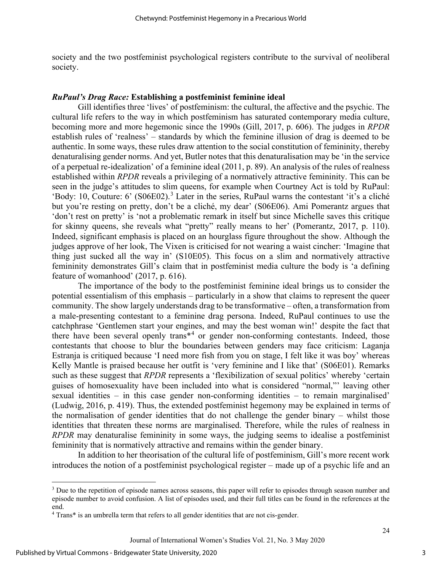society and the two postfeminist psychological registers contribute to the survival of neoliberal society.

#### *RuPaul's Drag Race:* **Establishing a postfeminist feminine ideal**

Gill identifies three 'lives' of postfeminism: the cultural, the affective and the psychic. The cultural life refers to the way in which postfeminism has saturated contemporary media culture, becoming more and more hegemonic since the 1990s (Gill, 2017, p. 606). The judges in *RPDR*  establish rules of 'realness' – standards by which the feminine illusion of drag is deemed to be authentic. In some ways, these rules draw attention to the social constitution of femininity, thereby denaturalising gender norms. And yet, Butler notes that this denaturalisation may be 'in the service of a perpetual re-idealization' of a feminine ideal (2011, p. 89). An analysis of the rules of realness established within *RPDR* reveals a privileging of a normatively attractive femininity. This can be seen in the judge's attitudes to slim queens, for example when Courtney Act is told by RuPaul: 'Body: 10, Couture: 6' (S06E02).[3](#page-3-0) Later in the series, RuPaul warns the contestant 'it's a cliché but you're resting on pretty, don't be a cliché, my dear' (S06E06). Ami Pomerantz argues that 'don't rest on pretty' is 'not a problematic remark in itself but since Michelle saves this critique for skinny queens, she reveals what "pretty" really means to her' (Pomerantz, 2017, p. 110). Indeed, significant emphasis is placed on an hourglass figure throughout the show. Although the judges approve of her look, The Vixen is criticised for not wearing a waist cincher: 'Imagine that thing just sucked all the way in' (S10E05). This focus on a slim and normatively attractive femininity demonstrates Gill's claim that in postfeminist media culture the body is 'a defining feature of womanhood' (2017, p. 616).

The importance of the body to the postfeminist feminine ideal brings us to consider the potential essentialism of this emphasis – particularly in a show that claims to represent the queer community. The show largely understands drag to be transformative – often, a transformation from a male-presenting contestant to a feminine drag persona. Indeed, RuPaul continues to use the catchphrase 'Gentlemen start your engines, and may the best woman win!' despite the fact that there have been several openly trans<sup>\*[4](#page-3-1)</sup> or gender non-conforming contestants. Indeed, those contestants that choose to blur the boundaries between genders may face criticism: Laganja Estranja is critiqued because 'I need more fish from you on stage, I felt like it was boy' whereas Kelly Mantle is praised because her outfit is 'very feminine and I like that' (S06E01). Remarks such as these suggest that *RPDR* represents a 'flexibilization of sexual politics' whereby 'certain guises of homosexuality have been included into what is considered "normal,"' leaving other sexual identities – in this case gender non-conforming identities – to remain marginalised' (Ludwig, 2016, p. 419). Thus, the extended postfeminist hegemony may be explained in terms of the normalisation of gender identities that do not challenge the gender binary – whilst those identities that threaten these norms are marginalised. Therefore, while the rules of realness in *RPDR* may denaturalise femininity in some ways, the judging seems to idealise a postfeminist femininity that is normatively attractive and remains within the gender binary.

In addition to her theorisation of the cultural life of postfeminism, Gill's more recent work introduces the notion of a postfeminist psychological register – made up of a psychic life and an

<span id="page-3-0"></span><sup>&</sup>lt;sup>3</sup> Due to the repetition of episode names across seasons, this paper will refer to episodes through season number and episode number to avoid confusion. A list of episodes used, and their full titles can be found in the references at the end.

<span id="page-3-1"></span><sup>4</sup> Trans\* is an umbrella term that refers to all gender identities that are not cis-gender.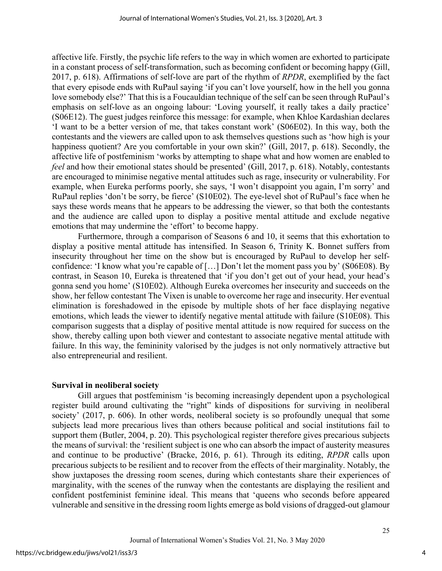affective life. Firstly, the psychic life refers to the way in which women are exhorted to participate in a constant process of self-transformation, such as becoming confident or becoming happy (Gill, 2017, p. 618). Affirmations of self-love are part of the rhythm of *RPDR*, exemplified by the fact that every episode ends with RuPaul saying 'if you can't love yourself, how in the hell you gonna love somebody else?' That this is a Foucauldian technique of the self can be seen through RuPaul's emphasis on self-love as an ongoing labour: 'Loving yourself, it really takes a daily practice' (S06E12). The guest judges reinforce this message: for example, when Khloe Kardashian declares 'I want to be a better version of me, that takes constant work' (S06E02). In this way, both the contestants and the viewers are called upon to ask themselves questions such as 'how high is your happiness quotient? Are you comfortable in your own skin?' (Gill, 2017, p. 618). Secondly, the affective life of postfeminism 'works by attempting to shape what and how women are enabled to *feel* and how their emotional states should be presented' (Gill, 2017, p. 618). Notably, contestants are encouraged to minimise negative mental attitudes such as rage, insecurity or vulnerability. For example, when Eureka performs poorly, she says, 'I won't disappoint you again, I'm sorry' and RuPaul replies 'don't be sorry, be fierce' (S10E02). The eye-level shot of RuPaul's face when he says these words means that he appears to be addressing the viewer, so that both the contestants and the audience are called upon to display a positive mental attitude and exclude negative emotions that may undermine the 'effort' to become happy.

Furthermore, through a comparison of Seasons 6 and 10, it seems that this exhortation to display a positive mental attitude has intensified. In Season 6, Trinity K. Bonnet suffers from insecurity throughout her time on the show but is encouraged by RuPaul to develop her selfconfidence: 'I know what you're capable of […] Don't let the moment pass you by' (S06E08). By contrast, in Season 10, Eureka is threatened that 'if you don't get out of your head, your head's gonna send you home' (S10E02). Although Eureka overcomes her insecurity and succeeds on the show, her fellow contestant The Vixen is unable to overcome her rage and insecurity. Her eventual elimination is foreshadowed in the episode by multiple shots of her face displaying negative emotions, which leads the viewer to identify negative mental attitude with failure (S10E08). This comparison suggests that a display of positive mental attitude is now required for success on the show, thereby calling upon both viewer and contestant to associate negative mental attitude with failure. In this way, the femininity valorised by the judges is not only normatively attractive but also entrepreneurial and resilient.

#### **Survival in neoliberal society**

Gill argues that postfeminism 'is becoming increasingly dependent upon a psychological register build around cultivating the "right" kinds of dispositions for surviving in neoliberal society' (2017, p. 606). In other words, neoliberal society is so profoundly unequal that some subjects lead more precarious lives than others because political and social institutions fail to support them (Butler, 2004, p. 20). This psychological register therefore gives precarious subjects the means of survival: the 'resilient subject is one who can absorb the impact of austerity measures and continue to be productive' (Bracke, 2016, p. 61). Through its editing, *RPDR* calls upon precarious subjects to be resilient and to recover from the effects of their marginality. Notably, the show juxtaposes the dressing room scenes, during which contestants share their experiences of marginality, with the scenes of the runway when the contestants are displaying the resilient and confident postfeminist feminine ideal. This means that 'queens who seconds before appeared vulnerable and sensitive in the dressing room lights emerge as bold visions of dragged-out glamour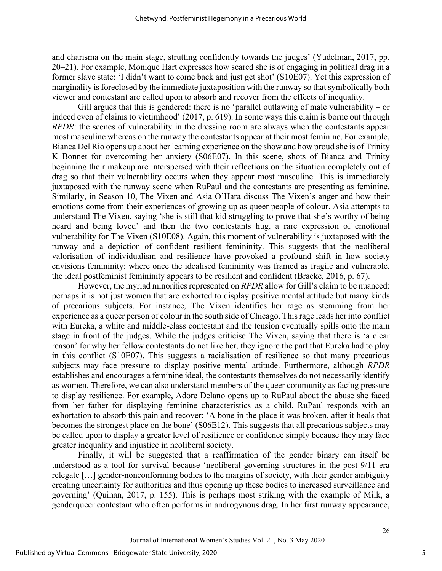and charisma on the main stage, strutting confidently towards the judges' (Yudelman, 2017, pp. 20–21). For example, Monique Hart expresses how scared she is of engaging in political drag in a former slave state: 'I didn't want to come back and just get shot' (S10E07). Yet this expression of marginality is foreclosed by the immediate juxtaposition with the runway so that symbolically both viewer and contestant are called upon to absorb and recover from the effects of inequality.

Gill argues that this is gendered: there is no 'parallel outlawing of male vulnerability – or indeed even of claims to victimhood' (2017, p. 619). In some ways this claim is borne out through *RPDR*: the scenes of vulnerability in the dressing room are always when the contestants appear most masculine whereas on the runway the contestants appear at their most feminine. For example, Bianca Del Rio opens up about her learning experience on the show and how proud she is of Trinity K Bonnet for overcoming her anxiety (S06E07). In this scene, shots of Bianca and Trinity beginning their makeup are interspersed with their reflections on the situation completely out of drag so that their vulnerability occurs when they appear most masculine. This is immediately juxtaposed with the runway scene when RuPaul and the contestants are presenting as feminine. Similarly, in Season 10, The Vixen and Asia O'Hara discuss The Vixen's anger and how their emotions come from their experiences of growing up as queer people of colour. Asia attempts to understand The Vixen, saying 'she is still that kid struggling to prove that she's worthy of being heard and being loved' and then the two contestants hug, a rare expression of emotional vulnerability for The Vixen (S10E08). Again, this moment of vulnerability is juxtaposed with the runway and a depiction of confident resilient femininity. This suggests that the neoliberal valorisation of individualism and resilience have provoked a profound shift in how society envisions femininity: where once the idealised femininity was framed as fragile and vulnerable, the ideal postfeminist femininity appears to be resilient and confident (Bracke, 2016, p. 67).

However, the myriad minorities represented on *RPDR* allow for Gill's claim to be nuanced: perhaps it is not just women that are exhorted to display positive mental attitude but many kinds of precarious subjects. For instance, The Vixen identifies her rage as stemming from her experience as a queer person of colour in the south side of Chicago. This rage leads her into conflict with Eureka, a white and middle-class contestant and the tension eventually spills onto the main stage in front of the judges. While the judges criticise The Vixen, saying that there is 'a clear reason' for why her fellow contestants do not like her, they ignore the part that Eureka had to play in this conflict (S10E07). This suggests a racialisation of resilience so that many precarious subjects may face pressure to display positive mental attitude. Furthermore, although *RPDR*  establishes and encourages a feminine ideal, the contestants themselves do not necessarily identify as women. Therefore, we can also understand members of the queer community as facing pressure to display resilience. For example, Adore Delano opens up to RuPaul about the abuse she faced from her father for displaying feminine characteristics as a child. RuPaul responds with an exhortation to absorb this pain and recover: 'A bone in the place it was broken, after it heals that becomes the strongest place on the bone' (S06E12). This suggests that all precarious subjects may be called upon to display a greater level of resilience or confidence simply because they may face greater inequality and injustice in neoliberal society.

Finally, it will be suggested that a reaffirmation of the gender binary can itself be understood as a tool for survival because 'neoliberal governing structures in the post-9/11 era relegate […] gender-nonconforming bodies to the margins of society, with their gender ambiguity creating uncertainty for authorities and thus opening up these bodies to increased surveillance and governing' (Quinan, 2017, p. 155). This is perhaps most striking with the example of Milk, a genderqueer contestant who often performs in androgynous drag. In her first runway appearance,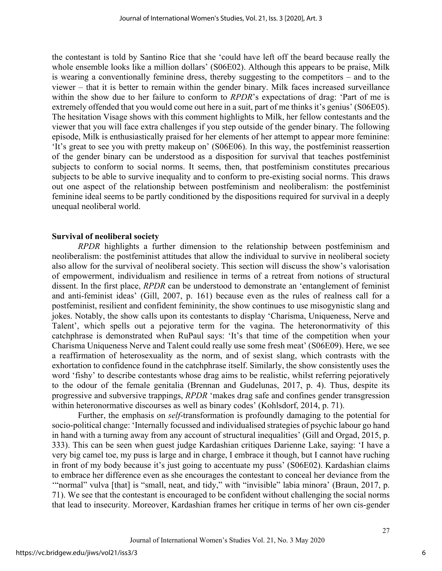the contestant is told by Santino Rice that she 'could have left off the beard because really the whole ensemble looks like a million dollars' (S06E02). Although this appears to be praise, Milk is wearing a conventionally feminine dress, thereby suggesting to the competitors – and to the viewer – that it is better to remain within the gender binary. Milk faces increased surveillance within the show due to her failure to conform to *RPDR*'s expectations of drag: 'Part of me is extremely offended that you would come out here in a suit, part of me thinks it's genius' (S06E05). The hesitation Visage shows with this comment highlights to Milk, her fellow contestants and the viewer that you will face extra challenges if you step outside of the gender binary. The following episode, Milk is enthusiastically praised for her elements of her attempt to appear more feminine: 'It's great to see you with pretty makeup on' (S06E06). In this way, the postfeminist reassertion of the gender binary can be understood as a disposition for survival that teaches postfeminist subjects to conform to social norms. It seems, then, that postfeminism constitutes precarious subjects to be able to survive inequality and to conform to pre-existing social norms. This draws out one aspect of the relationship between postfeminism and neoliberalism: the postfeminist feminine ideal seems to be partly conditioned by the dispositions required for survival in a deeply unequal neoliberal world.

#### **Survival of neoliberal society**

*RPDR* highlights a further dimension to the relationship between postfeminism and neoliberalism: the postfeminist attitudes that allow the individual to survive in neoliberal society also allow for the survival of neoliberal society. This section will discuss the show's valorisation of empowerment, individualism and resilience in terms of a retreat from notions of structural dissent. In the first place, *RPDR* can be understood to demonstrate an 'entanglement of feminist and anti-feminist ideas' (Gill, 2007, p. 161) because even as the rules of realness call for a postfeminist, resilient and confident femininity, the show continues to use misogynistic slang and jokes. Notably, the show calls upon its contestants to display 'Charisma, Uniqueness, Nerve and Talent', which spells out a pejorative term for the vagina. The heteronormativity of this catchphrase is demonstrated when RuPaul says: 'It's that time of the competition when your Charisma Uniqueness Nerve and Talent could really use some fresh meat' (S06E09). Here, we see a reaffirmation of heterosexuality as the norm, and of sexist slang, which contrasts with the exhortation to confidence found in the catchphrase itself. Similarly, the show consistently uses the word 'fishy' to describe contestants whose drag aims to be realistic, whilst referring pejoratively to the odour of the female genitalia (Brennan and Gudelunas, 2017, p. 4). Thus, despite its progressive and subversive trappings, *RPDR* 'makes drag safe and confines gender transgression within heteronormative discourses as well as binary codes' (Kohlsdorf, 2014, p. 71).

Further, the emphasis on *self*-transformation is profoundly damaging to the potential for socio-political change: 'Internally focussed and individualised strategies of psychic labour go hand in hand with a turning away from any account of structural inequalities' (Gill and Orgad, 2015, p. 333). This can be seen when guest judge Kardashian critiques Darienne Lake, saying: 'I have a very big camel toe, my puss is large and in charge, I embrace it though, but I cannot have ruching in front of my body because it's just going to accentuate my puss' (S06E02). Kardashian claims to embrace her difference even as she encourages the contestant to conceal her deviance from the '"normal" vulva [that] is "small, neat, and tidy," with "invisible" labia minora' (Braun, 2017, p. 71). We see that the contestant is encouraged to be confident without challenging the social norms that lead to insecurity. Moreover, Kardashian frames her critique in terms of her own cis-gender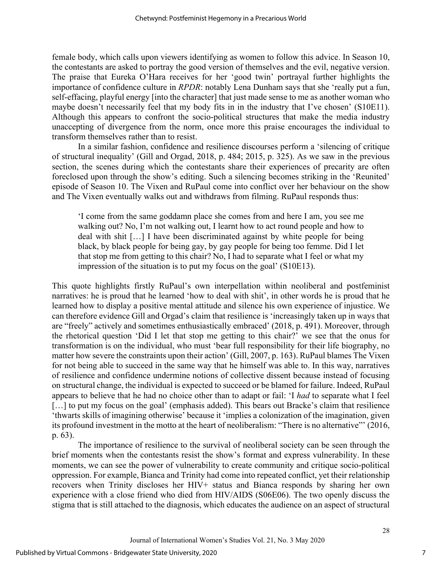female body, which calls upon viewers identifying as women to follow this advice. In Season 10, the contestants are asked to portray the good version of themselves and the evil, negative version. The praise that Eureka O'Hara receives for her 'good twin' portrayal further highlights the importance of confidence culture in *RPDR*: notably Lena Dunham says that she 'really put a fun, self-effacing, playful energy [into the character] that just made sense to me as another woman who maybe doesn't necessarily feel that my body fits in in the industry that I've chosen' (S10E11). Although this appears to confront the socio-political structures that make the media industry unaccepting of divergence from the norm, once more this praise encourages the individual to transform themselves rather than to resist.

In a similar fashion, confidence and resilience discourses perform a 'silencing of critique of structural inequality' (Gill and Orgad, 2018, p. 484; 2015, p. 325). As we saw in the previous section, the scenes during which the contestants share their experiences of precarity are often foreclosed upon through the show's editing. Such a silencing becomes striking in the 'Reunited' episode of Season 10. The Vixen and RuPaul come into conflict over her behaviour on the show and The Vixen eventually walks out and withdraws from filming. RuPaul responds thus:

'I come from the same goddamn place she comes from and here I am, you see me walking out? No, I'm not walking out, I learnt how to act round people and how to deal with shit […] I have been discriminated against by white people for being black, by black people for being gay, by gay people for being too femme. Did I let that stop me from getting to this chair? No, I had to separate what I feel or what my impression of the situation is to put my focus on the goal' (S10E13).

This quote highlights firstly RuPaul's own interpellation within neoliberal and postfeminist narratives: he is proud that he learned 'how to deal with shit', in other words he is proud that he learned how to display a positive mental attitude and silence his own experience of injustice. We can therefore evidence Gill and Orgad's claim that resilience is 'increasingly taken up in ways that are "freely" actively and sometimes enthusiastically embraced' (2018, p. 491). Moreover, through the rhetorical question 'Did I let that stop me getting to this chair?' we see that the onus for transformation is on the individual, who must 'bear full responsibility for their life biography, no matter how severe the constraints upon their action' (Gill, 2007, p. 163). RuPaul blames The Vixen for not being able to succeed in the same way that he himself was able to. In this way, narratives of resilience and confidence undermine notions of collective dissent because instead of focusing on structural change, the individual is expected to succeed or be blamed for failure. Indeed, RuPaul appears to believe that he had no choice other than to adapt or fail: 'I *had* to separate what I feel [...] to put my focus on the goal' (emphasis added). This bears out Bracke's claim that resilience 'thwarts skills of imagining otherwise' because it 'implies a colonization of the imagination, given its profound investment in the motto at the heart of neoliberalism: "There is no alternative"' (2016, p. 63).

The importance of resilience to the survival of neoliberal society can be seen through the brief moments when the contestants resist the show's format and express vulnerability. In these moments, we can see the power of vulnerability to create community and critique socio-political oppression. For example, Bianca and Trinity had come into repeated conflict, yet their relationship recovers when Trinity discloses her HIV+ status and Bianca responds by sharing her own experience with a close friend who died from HIV/AIDS (S06E06). The two openly discuss the stigma that is still attached to the diagnosis, which educates the audience on an aspect of structural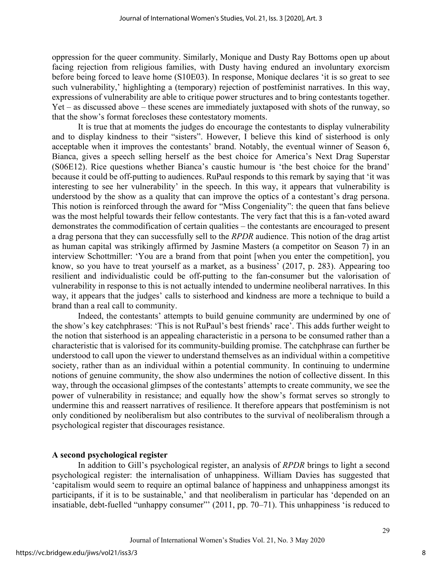oppression for the queer community. Similarly, Monique and Dusty Ray Bottoms open up about facing rejection from religious families, with Dusty having endured an involuntary exorcism before being forced to leave home (S10E03). In response, Monique declares 'it is so great to see such vulnerability,' highlighting a (temporary) rejection of postfeminist narratives. In this way, expressions of vulnerability are able to critique power structures and to bring contestants together. Yet – as discussed above – these scenes are immediately juxtaposed with shots of the runway, so that the show's format forecloses these contestatory moments.

It is true that at moments the judges do encourage the contestants to display vulnerability and to display kindness to their "sisters". However, I believe this kind of sisterhood is only acceptable when it improves the contestants' brand. Notably, the eventual winner of Season 6, Bianca, gives a speech selling herself as the best choice for America's Next Drag Superstar (S06E12). Rice questions whether Bianca's caustic humour is 'the best choice for the brand' because it could be off-putting to audiences. RuPaul responds to this remark by saying that 'it was interesting to see her vulnerability' in the speech. In this way, it appears that vulnerability is understood by the show as a quality that can improve the optics of a contestant's drag persona. This notion is reinforced through the award for "Miss Congeniality": the queen that fans believe was the most helpful towards their fellow contestants. The very fact that this is a fan-voted award demonstrates the commodification of certain qualities – the contestants are encouraged to present a drag persona that they can successfully sell to the *RPDR* audience. This notion of the drag artist as human capital was strikingly affirmed by Jasmine Masters (a competitor on Season 7) in an interview Schottmiller: 'You are a brand from that point [when you enter the competition], you know, so you have to treat yourself as a market, as a business' (2017, p. 283). Appearing too resilient and individualistic could be off-putting to the fan-consumer but the valorisation of vulnerability in response to this is not actually intended to undermine neoliberal narratives. In this way, it appears that the judges' calls to sisterhood and kindness are more a technique to build a brand than a real call to community.

Indeed, the contestants' attempts to build genuine community are undermined by one of the show's key catchphrases: 'This is not RuPaul's best friends' race'. This adds further weight to the notion that sisterhood is an appealing characteristic in a persona to be consumed rather than a characteristic that is valorised for its community-building promise. The catchphrase can further be understood to call upon the viewer to understand themselves as an individual within a competitive society, rather than as an individual within a potential community. In continuing to undermine notions of genuine community, the show also undermines the notion of collective dissent. In this way, through the occasional glimpses of the contestants' attempts to create community, we see the power of vulnerability in resistance; and equally how the show's format serves so strongly to undermine this and reassert narratives of resilience. It therefore appears that postfeminism is not only conditioned by neoliberalism but also contributes to the survival of neoliberalism through a psychological register that discourages resistance.

#### **A second psychological register**

In addition to Gill's psychological register, an analysis of *RPDR* brings to light a second psychological register: the internalisation of unhappiness. William Davies has suggested that 'capitalism would seem to require an optimal balance of happiness and unhappiness amongst its participants, if it is to be sustainable,' and that neoliberalism in particular has 'depended on an insatiable, debt-fuelled "unhappy consumer"' (2011, pp. 70–71). This unhappiness 'is reduced to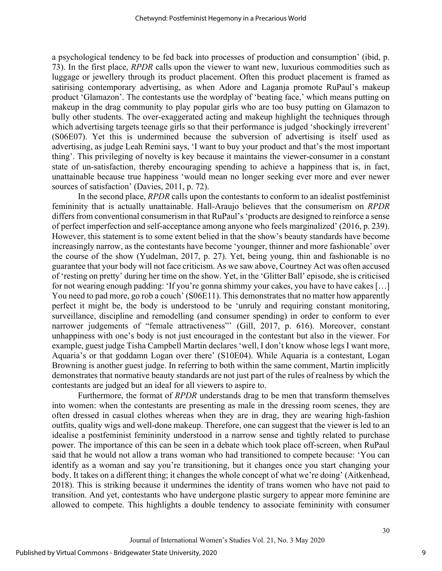a psychological tendency to be fed back into processes of production and consumption' (ibid, p. 73). In the first place, *RPDR* calls upon the viewer to want new, luxurious commodities such as luggage or jewellery through its product placement. Often this product placement is framed as satirising contemporary advertising, as when Adore and Laganja promote RuPaul's makeup product 'Glamazon'. The contestants use the wordplay of 'beating face,' which means putting on makeup in the drag community to play popular girls who are too busy putting on Glamazon to bully other students. The over-exaggerated acting and makeup highlight the techniques through which advertising targets teenage girls so that their performance is judged 'shockingly irreverent' (S06E07). Yet this is undermined because the subversion of advertising is itself used as advertising, as judge Leah Remini says, 'I want to buy your product and that's the most important thing'. This privileging of novelty is key because it maintains the viewer-consumer in a constant state of un-satisfaction, thereby encouraging spending to achieve a happiness that is, in fact, unattainable because true happiness 'would mean no longer seeking ever more and ever newer sources of satisfaction' (Davies, 2011, p. 72).

In the second place, *RPDR* calls upon the contestants to conform to an idealist postfeminist femininity that is actually unattainable. Hall-Araujo believes that the consumerism on *RPDR*  differs from conventional consumerism in that RuPaul's 'products are designed to reinforce a sense of perfect imperfection and self-acceptance among anyone who feels marginalized' (2016, p. 239). However, this statement is to some extent belied in that the show's beauty standards have become increasingly narrow, as the contestants have become 'younger, thinner and more fashionable' over the course of the show (Yudelman, 2017, p. 27). Yet, being young, thin and fashionable is no guarantee that your body will not face criticism. As we saw above, Courtney Act was often accused of 'resting on pretty' during her time on the show. Yet, in the 'Glitter Ball' episode, she is criticised for not wearing enough padding: 'If you're gonna shimmy your cakes, you have to have cakes […] You need to pad more, go rob a couch' (S06E11). This demonstrates that no matter how apparently perfect it might be, the body is understood to be 'unruly and requiring constant monitoring, surveillance, discipline and remodelling (and consumer spending) in order to conform to ever narrower judgements of "female attractiveness" (Gill, 2017, p. 616). Moreover, constant unhappiness with one's body is not just encouraged in the contestant but also in the viewer. For example, guest judge Tisha Campbell Martin declares 'well, I don't know whose legs I want more, Aquaria's or that goddamn Logan over there' (S10E04). While Aquaria is a contestant, Logan Browning is another guest judge. In referring to both within the same comment, Martin implicitly demonstrates that normative beauty standards are not just part of the rules of realness by which the contestants are judged but an ideal for all viewers to aspire to.

Furthermore, the format of *RPDR* understands drag to be men that transform themselves into women: when the contestants are presenting as male in the dressing room scenes, they are often dressed in casual clothes whereas when they are in drag, they are wearing high-fashion outfits, quality wigs and well-done makeup. Therefore, one can suggest that the viewer is led to an idealise a postfeminist femininity understood in a narrow sense and tightly related to purchase power. The importance of this can be seen in a debate which took place off-screen, when RuPaul said that he would not allow a trans woman who had transitioned to compete because: 'You can identify as a woman and say you're transitioning, but it changes once you start changing your body. It takes on a different thing; it changes the whole concept of what we're doing' (Aitkenhead, 2018). This is striking because it undermines the identity of trans women who have not paid to transition. And yet, contestants who have undergone plastic surgery to appear more feminine are allowed to compete. This highlights a double tendency to associate femininity with consumer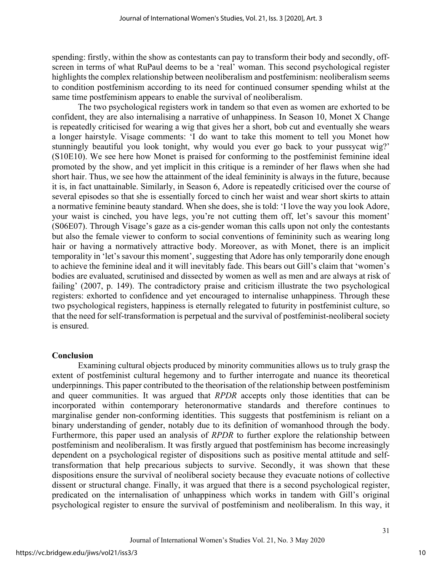spending: firstly, within the show as contestants can pay to transform their body and secondly, offscreen in terms of what RuPaul deems to be a 'real' woman. This second psychological register highlights the complex relationship between neoliberalism and postfeminism: neoliberalism seems to condition postfeminism according to its need for continued consumer spending whilst at the same time postfeminism appears to enable the survival of neoliberalism.

The two psychological registers work in tandem so that even as women are exhorted to be confident, they are also internalising a narrative of unhappiness. In Season 10, Monet X Change is repeatedly criticised for wearing a wig that gives her a short, bob cut and eventually she wears a longer hairstyle. Visage comments: 'I do want to take this moment to tell you Monet how stunningly beautiful you look tonight, why would you ever go back to your pussycat wig?' (S10E10). We see here how Monet is praised for conforming to the postfeminist feminine ideal promoted by the show, and yet implicit in this critique is a reminder of her flaws when she had short hair. Thus, we see how the attainment of the ideal femininity is always in the future, because it is, in fact unattainable. Similarly, in Season 6, Adore is repeatedly criticised over the course of several episodes so that she is essentially forced to cinch her waist and wear short skirts to attain a normative feminine beauty standard. When she does, she is told: 'I love the way you look Adore, your waist is cinched, you have legs, you're not cutting them off, let's savour this moment' (S06E07). Through Visage's gaze as a cis-gender woman this calls upon not only the contestants but also the female viewer to conform to social conventions of femininity such as wearing long hair or having a normatively attractive body. Moreover, as with Monet, there is an implicit temporality in 'let's savour this moment', suggesting that Adore has only temporarily done enough to achieve the feminine ideal and it will inevitably fade. This bears out Gill's claim that 'women's bodies are evaluated, scrutinised and dissected by women as well as men and are always at risk of failing' (2007, p. 149). The contradictory praise and criticism illustrate the two psychological registers: exhorted to confidence and yet encouraged to internalise unhappiness. Through these two psychological registers, happiness is eternally relegated to futurity in postfeminist culture, so that the need for self-transformation is perpetual and the survival of postfeminist-neoliberal society is ensured.

#### **Conclusion**

Examining cultural objects produced by minority communities allows us to truly grasp the extent of postfeminist cultural hegemony and to further interrogate and nuance its theoretical underpinnings. This paper contributed to the theorisation of the relationship between postfeminism and queer communities. It was argued that *RPDR* accepts only those identities that can be incorporated within contemporary heteronormative standards and therefore continues to marginalise gender non-conforming identities. This suggests that postfeminism is reliant on a binary understanding of gender, notably due to its definition of womanhood through the body. Furthermore, this paper used an analysis of *RPDR* to further explore the relationship between postfeminism and neoliberalism. It was firstly argued that postfeminism has become increasingly dependent on a psychological register of dispositions such as positive mental attitude and selftransformation that help precarious subjects to survive. Secondly, it was shown that these dispositions ensure the survival of neoliberal society because they evacuate notions of collective dissent or structural change. Finally, it was argued that there is a second psychological register, predicated on the internalisation of unhappiness which works in tandem with Gill's original psychological register to ensure the survival of postfeminism and neoliberalism. In this way, it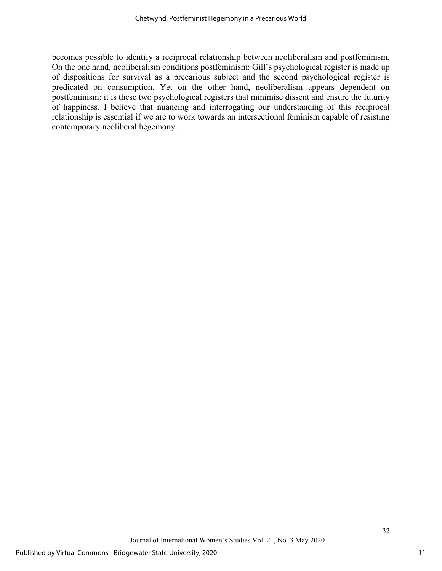becomes possible to identify a reciprocal relationship between neoliberalism and postfeminism. On the one hand, neoliberalism conditions postfeminism: Gill's psychological register is made up of dispositions for survival as a precarious subject and the second psychological register is predicated on consumption. Yet on the other hand, neoliberalism appears dependent on postfeminism: it is these two psychological registers that minimise dissent and ensure the futurity of happiness. I believe that nuancing and interrogating our understanding of this reciprocal relationship is essential if we are to work towards an intersectional feminism capable of resisting contemporary neoliberal hegemony.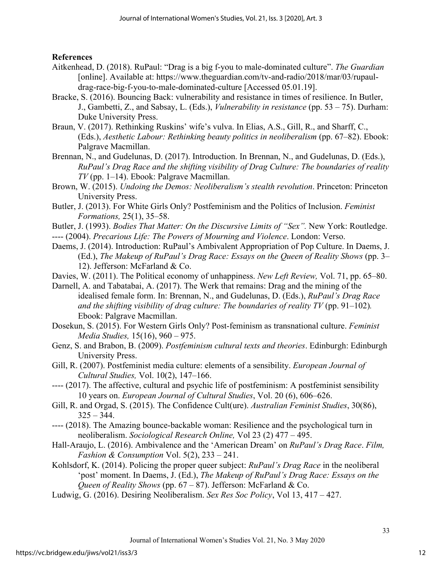**References**

- Aitkenhead, D. (2018). RuPaul: "Drag is a big f-you to male-dominated culture". *The Guardian*  [online]. Available at: https://www.theguardian.com/tv-and-radio/2018/mar/03/rupauldrag-race-big-f-you-to-male-dominated-culture [Accessed 05.01.19].
- Bracke, S. (2016). Bouncing Back: vulnerability and resistance in times of resilience. In Butler, J., Gambetti, Z., and Sabsay, L. (Eds.), *Vulnerability in resistance* (pp. 53 – 75). Durham: Duke University Press.
- Braun, V. (2017). Rethinking Ruskins' wife's vulva. In Elias, A.S., Gill, R., and Sharff, C., (Eds.), *Aesthetic Labour: Rethinking beauty politics in neoliberalism* (pp. 67–82). Ebook: Palgrave Macmillan.
- Brennan, N., and Gudelunas, D. (2017). Introduction. In Brennan, N., and Gudelunas, D. (Eds.), *RuPaul's Drag Race and the shifting visibility of Drag Culture: The boundaries of reality TV* (pp. 1–14). Ebook: Palgrave Macmillan.
- Brown, W. (2015). *Undoing the Demos: Neoliberalism's stealth revolution*. Princeton: Princeton University Press.
- Butler, J. (2013). For White Girls Only? Postfeminism and the Politics of Inclusion. *Feminist Formations,* 25(1), 35–58.
- Butler, J. (1993). *Bodies That Matter: On the Discursive Limits of "Sex".* New York: Routledge.
- ---- (2004). *Precarious Life: The Powers of Mourning and Violence*. London: Verso.
- Daems, J. (2014). Introduction: RuPaul's Ambivalent Appropriation of Pop Culture. In Daems, J. (Ed.), *The Makeup of RuPaul's Drag Race: Essays on the Queen of Reality Shows* (pp. 3– 12). Jefferson: McFarland & Co.
- Davies, W. (2011). The Political economy of unhappiness. *New Left Review,* Vol. 71, pp. 65–80.
- Darnell, A. and Tabatabai, A. (2017). The Werk that remains: Drag and the mining of the idealised female form. In: Brennan, N., and Gudelunas, D. (Eds.), *RuPaul's Drag Race and the shifting visibility of drag culture: The boundaries of reality TV* (pp. 91–102). Ebook: Palgrave Macmillan.
- Dosekun, S. (2015). For Western Girls Only? Post-feminism as transnational culture. *Feminist Media Studies,* 15(16), 960 – 975.
- Genz, S. and Brabon, B. (2009). *Postfeminism cultural texts and theories*. Edinburgh: Edinburgh University Press.
- Gill, R. (2007). Postfeminist media culture: elements of a sensibility. *European Journal of Cultural Studies,* Vol. 10(2), 147–166.
- ---- (2017). The affective, cultural and psychic life of postfeminism: A postfeminist sensibility 10 years on. *European Journal of Cultural Studies*, Vol. 20 (6), 606–626.
- Gill, R. and Orgad, S. (2015). The Confidence Cult(ure). *Australian Feminist Studies*, 30(86),  $325 - 344.$
- ---- (2018). The Amazing bounce-backable woman: Resilience and the psychological turn in neoliberalism. *Sociological Research Online,* Vol 23 (2) 477 – 495.
- Hall-Araujo, L. (2016). Ambivalence and the 'American Dream' on *RuPaul's Drag Race*. *Film, Fashion & Consumption* Vol. 5(2), 233 – 241.
- Kohlsdorf, K. (2014). Policing the proper queer subject: *RuPaul's Drag Race* in the neoliberal 'post' moment. In Daems, J. (Ed.), *The Makeup of RuPaul's Drag Race: Essays on the Queen of Reality Shows* (pp. 67 – 87). Jefferson: McFarland & Co.
- Ludwig, G. (2016). Desiring Neoliberalism. *Sex Res Soc Policy*, Vol 13, 417 427.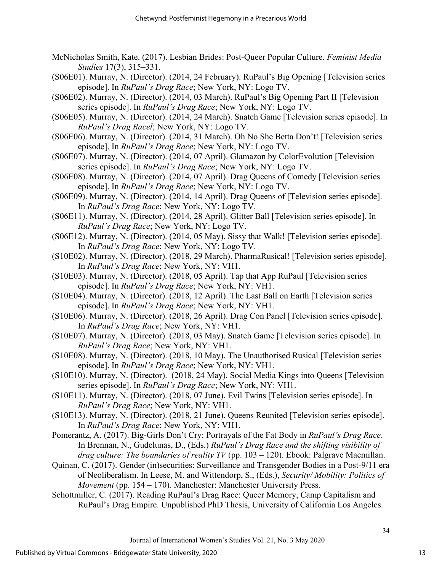- McNicholas Smith, Kate. (2017). Lesbian Brides: Post-Queer Popular Culture. *Feminist Media Studies* 17(3), 315–331.
- (S06E01). Murray, N. (Director). (2014, 24 February). RuPaul's Big Opening [Television series episode]. In *RuPaul's Drag Race*; New York, NY: Logo TV.
- (S06E02). Murray, N. (Director). (2014, 03 March). RuPaul's Big Opening Part II [Television series episode]. In *RuPaul's Drag Race*; New York, NY: Logo TV.
- (S06E05). Murray, N. (Director). (2014, 24 March). Snatch Game [Television series episode]. In *RuPaul's Drag Racel*; New York, NY: Logo TV.
- (S06E06). Murray, N. (Director). (2014, 31 March). Oh No She Betta Don't! [Television series episode]. In *RuPaul's Drag Race*; New York, NY: Logo TV.
- (S06E07). Murray, N. (Director). (2014, 07 April). Glamazon by ColorEvolution [Television series episode]. In *RuPaul's Drag Race*; New York, NY: Logo TV.
- (S06E08). Murray, N. (Director). (2014, 07 April). Drag Queens of Comedy [Television series episode]. In *RuPaul's Drag Race*; New York, NY: Logo TV.
- (S06E09). Murray, N. (Director). (2014, 14 April). Drag Queens of [Television series episode]. In *RuPaul's Drag Race*; New York, NY: Logo TV.
- (S06E11). Murray, N. (Director). (2014, 28 April). Glitter Ball [Television series episode]. In *RuPaul's Drag Race*; New York, NY: Logo TV.
- (S06E12). Murray, N. (Director). (2014, 05 May). Sissy that Walk! [Television series episode]. In *RuPaul's Drag Race*; New York, NY: Logo TV.
- (S10E02). Murray, N. (Director). (2018, 29 March). PharmaRusical! [Television series episode]. In *RuPaul's Drag Race*; New York, NY: VH1.
- (S10E03). Murray, N. (Director). (2018, 05 April). Tap that App RuPaul [Television series episode]. In *RuPaul's Drag Race*; New York, NY: VH1.
- (S10E04). Murray, N. (Director). (2018, 12 April). The Last Ball on Earth [Television series episode]. In *RuPaul's Drag Race*; New York, NY: VH1.
- (S10E06). Murray, N. (Director). (2018, 26 April). Drag Con Panel [Television series episode]. In *RuPaul's Drag Race*; New York, NY: VH1.
- (S10E07). Murray, N. (Director). (2018, 03 May). Snatch Game [Television series episode]. In *RuPaul's Drag Race*; New York, NY: VH1.
- (S10E08). Murray, N. (Director). (2018, 10 May). The Unauthorised Rusical [Television series episode]. In *RuPaul's Drag Race*; New York, NY: VH1.
- (S10E10). Murray, N. (Director). (2018, 24 May). Social Media Kings into Queens [Television series episode]. In *RuPaul's Drag Race*; New York, NY: VH1.
- (S10E11). Murray, N. (Director). (2018, 07 June). Evil Twins [Television series episode]. In *RuPaul's Drag Race*; New York, NY: VH1.
- (S10E13). Murray, N. (Director). (2018, 21 June). Queens Reunited [Television series episode]. In *RuPaul's Drag Race*; New York, NY: VH1.
- Pomerantz, A. (2017). Big-Girls Don't Cry: Portrayals of the Fat Body in *RuPaul's Drag Race*. In Brennan, N., Gudelunas, D., (Eds.) *RuPaul's Drag Race and the shifting visibility of drag culture: The boundaries of reality TV* (pp. 103 – 120). Ebook: Palgrave Macmillan.
- Quinan, C. (2017). Gender (in)securities: Surveillance and Transgender Bodies in a Post-9/11 era of Neoliberalism. In Leese, M. and Wittendorp, S., (Eds.), *Security/ Mobility: Politics of Movement* (pp. 154 – 170)*.* Manchester: Manchester University Press.
- Schottmiller, C. (2017). Reading RuPaul's Drag Race: Queer Memory, Camp Capitalism and RuPaul's Drag Empire. Unpublished PhD Thesis, University of California Los Angeles.